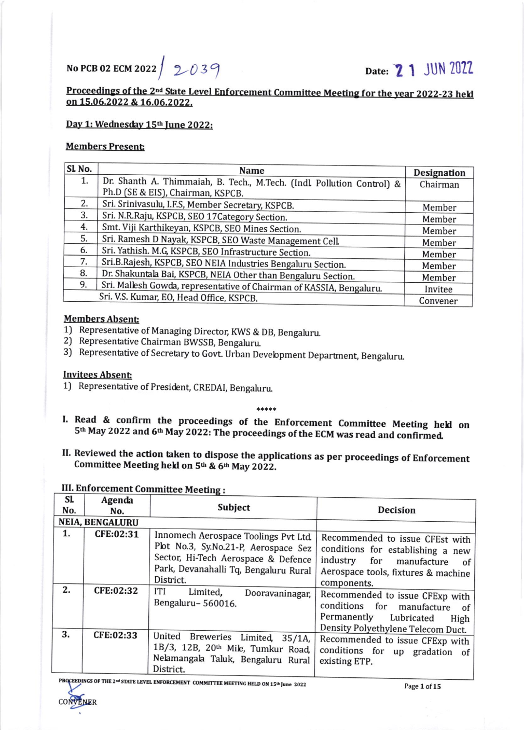# No PCB 02 ECM 2022 $/$  2039 Date: 21 JUN 2022

## Proceedings of the 2<sup>nd</sup> State Level Enforcement Committee Meeting for the year 2022-23 held<br>on 15.06.2022 & 16.06.2022.

#### Day 1: Wednesday 15<sup>th</sup> June 2022:

### Members Present

| SL <sub>No.</sub> | Name                                                                   | <b>Designation</b> |
|-------------------|------------------------------------------------------------------------|--------------------|
| 1.                | Dr. Shanth A. Thimmaiah, B. Tech., M.Tech. (Indl. Pollution Control) & | Chairman           |
|                   | Ph.D (SE & EIS), Chairman, KSPCB.                                      |                    |
| 2.                | Sri. Srinivasulu, I.F.S, Member Secretary, KSPCB.                      | Member             |
| 3.                | Sri. N.R.Raju, KSPCB, SEO 17Category Section.                          | Member             |
| 4.                | Smt. Viji Karthikeyan, KSPCB, SEO Mines Section.                       | Member             |
| 5.                | Sri. Ramesh D Nayak, KSPCB, SEO Waste Management Cell.                 | Member             |
| 6.                | Sri. Yathish. M.G, KSPCB, SEO Infrastructure Section.                  | Member             |
| 7.                | Sri.B.Rajesh, KSPCB, SEO NEIA Industries Bengaluru Section.            | Member             |
| 8.                | Dr. Shakuntala Bai, KSPCB, NEIA Other than Bengaluru Section.          | Member             |
| 9.                | Sri. Mallesh Gowda, representative of Chairman of KASSIA, Bengaluru.   | Invitee            |
|                   | Convener                                                               |                    |

#### Members Absent

- 1J Representative of Managing Director; KWS & DB, Bengaluru. 2) Representative Chairman BWSSB, Bengaluru.
- 
- 3) Representative of Secretary to Govt. Urban Development Department, Bengaluru.

### Invitees Absent

R

1) Representative of President, CREDAI, Bengaluru.

#### )\*\*\*t,\*

- I. Read & confirm the proceedings of the Enforcement Committee Meeting held on 5<sup>th</sup> May 2022 and 6<sup>th</sup> May 2022: The proceedings of the ECM was read and confirmed.
- II. Reviewed the action taken to dispose the applications as per proceedings of Enforcement Committee Meeting held on 5<sup>th</sup> & 6<sup>th</sup> May 2022.

#### III. Enforcement Committee Meeting :  $\overline{a}$

| SI.                    | Agenda    |                                                                                                                                                                           |                                                                                                                                                                    |
|------------------------|-----------|---------------------------------------------------------------------------------------------------------------------------------------------------------------------------|--------------------------------------------------------------------------------------------------------------------------------------------------------------------|
| No.                    | No.       | Subject                                                                                                                                                                   | <b>Decision</b>                                                                                                                                                    |
| <b>NEIA, BENGALURU</b> |           |                                                                                                                                                                           |                                                                                                                                                                    |
| 1.                     | CFE:02:31 | Innomech Aerospace Toolings Pvt Ltd.<br>Plot No.3, Sy.No.21-P, Aerospace Sez<br>Sector, Hi-Tech Aerospace & Defence<br>Park, Devanahalli Tq, Bengaluru Rural<br>District. | Recommended to issue CFEst with<br>conditions for establishing a new<br>industry<br>for<br>manufacture<br>of<br>Aerospace tools, fixtures & machine<br>components. |
| 2.                     | CFE:02:32 | <b>ITI</b><br>Limited,<br>Dooravaninagar,<br>Bengaluru-560016.                                                                                                            | Recommended to issue CFExp with<br>conditions for manufacture<br>of<br>Permanently<br>Lubricated<br>High<br>Density Polyethylene Telecom Duct.                     |
| 3.                     | CFE:02:33 | United Breweries<br>Limited, 35/1A,<br>1B/3, 12B, 20th Mile, Tumkur Road,<br>Nelamangala Taluk, Bengaluru Rural<br>District.                                              | Recommended to issue CFExp with<br>conditions for up gradation of<br>existing ETP.                                                                                 |